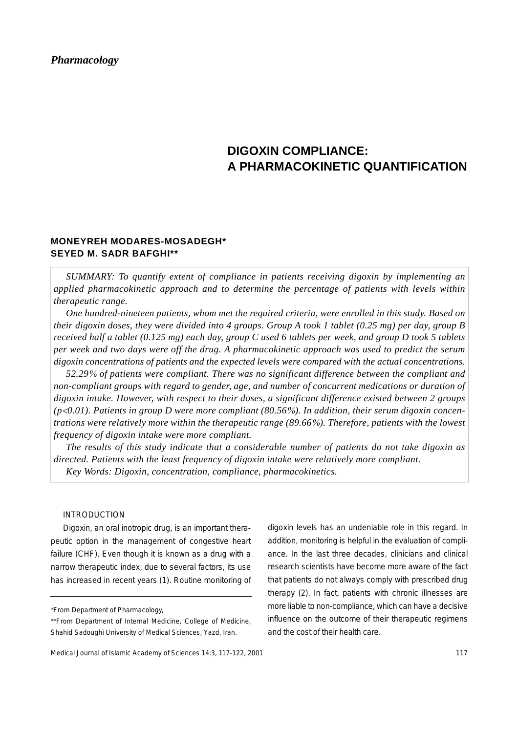*Pharmacology*

# **DIGOXIN COMPLIANCE: A PHARMACOKINETIC QUANTIFICATION**

## **MONEYREH MODARES-MOSADEGH\* SEYED M. SADR BAFGHI\*\***

*SUMMARY: To quantify extent of compliance in patients receiving digoxin by implementing an applied pharmacokinetic approach and to determine the percentage of patients with levels within therapeutic range.* 

*One hundred-nineteen patients, whom met the required criteria, were enrolled in this study. Based on their digoxin doses, they were divided into 4 groups. Group A took 1 tablet (0.25 mg) per day, group B received half a tablet (0.125 mg) each day, group C used 6 tablets per week, and group D took 5 tablets per week and two days were off the drug. A pharmacokinetic approach was used to predict the serum digoxin concentrations of patients and the expected levels were compared with the actual concentrations.*

*52.29*% *of patients were compliant. There was no significant difference between the compliant and non-compliant groups with regard to gender, age, and number of concurrent medications or duration of digoxin intake. However, with respect to their doses, a significant difference existed between 2 groups (p*<*0.01). Patients in group D were more compliant (80.56*%*). In addition, their serum digoxin concentrations were relatively more within the therapeutic range (89.66*%*). Therefore, patients with the lowest frequency of digoxin intake were more compliant.*

*The results of this study indicate that a considerable number of patients do not take digoxin as directed. Patients with the least frequency of digoxin intake were relatively more compliant. Key Words: Digoxin, concentration, compliance, pharmacokinetics.*

### INTRODUCTION

Digoxin, an oral inotropic drug, is an important therapeutic option in the management of congestive heart failure (CHF). Even though it is known as a drug with a narrow therapeutic index, due to several factors, its use has increased in recent years (1). Routine monitoring of digoxin levels has an undeniable role in this regard. In addition, monitoring is helpful in the evaluation of compliance. In the last three decades, clinicians and clinical research scientists have become more aware of the fact that patients do not always comply with prescribed drug therapy (2). In fact, patients with chronic illnesses are more liable to non-compliance, which can have a decisive influence on the outcome of their therapeutic regimens and the cost of their health care.

<sup>\*</sup>From Department of Pharmacology,

<sup>\*\*</sup>From Department of Internal Medicine, College of Medicine, Shahid Sadoughi University of Medical Sciences, Yazd, Iran.

Medical Journal of Islamic Academy of Sciences 14:3, 117-122, 2001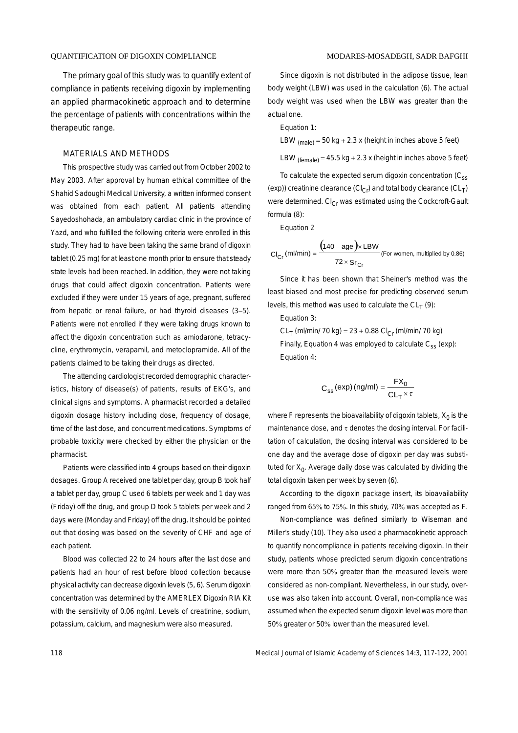The primary goal of this study was to quantify extent of compliance in patients receiving digoxin by implementing an applied pharmacokinetic approach and to determine the percentage of patients with concentrations within the therapeutic range.

#### MATERIALS AND METHODS

This prospective study was carried out from October 2002 to May 2003. After approval by human ethical committee of the Shahid Sadoughi Medical University, a written informed consent was obtained from each patient. All patients attending Sayedoshohada, an ambulatory cardiac clinic in the province of Yazd, and who fulfilled the following criteria were enrolled in this study. They had to have been taking the same brand of digoxin tablet (0.25 mg) for at least one month prior to ensure that steady state levels had been reached. In addition, they were not taking drugs that could affect digoxin concentration. Patients were excluded if they were under 15 years of age, pregnant, suffered from hepatic or renal failure, or had thyroid diseases (3−5). Patients were not enrolled if they were taking drugs known to affect the digoxin concentration such as amiodarone, tetracycline, erythromycin, verapamil, and metoclopramide. All of the patients claimed to be taking their drugs as directed.

The attending cardiologist recorded demographic characteristics, history of disease(s) of patients, results of EKG's, and clinical signs and symptoms. A pharmacist recorded a detailed digoxin dosage history including dose, frequency of dosage, time of the last dose, and concurrent medications. Symptoms of probable toxicity were checked by either the physician or the pharmacist.

Patients were classified into 4 groups based on their digoxin dosages. Group A received one tablet per day, group B took half a tablet per day, group C used 6 tablets per week and 1 day was (Friday) off the drug, and group D took 5 tablets per week and 2 days were (Monday and Friday) off the drug. It should be pointed out that dosing was based on the severity of CHF and age of each patient.

Blood was collected 22 to 24 hours after the last dose and patients had an hour of rest before blood collection because physical activity can decrease digoxin levels (5, 6). Serum digoxin concentration was determined by the AMERLEX Digoxin RIA Kit with the sensitivity of 0.06 ng/ml. Levels of creatinine, sodium, potassium, calcium, and magnesium were also measured.

Since digoxin is not distributed in the adipose tissue, lean body weight (LBW) was used in the calculation (6). The actual body weight was used when the LBW was greater than the actual one.

Equation 1:

LBW  $_{(male)} = 50$  kg + 2.3 x (height in inches above 5 feet)

LBW  $_{(female)} = 45.5$  kg + 2.3 x (height in inches above 5 feet)

To calculate the expected serum digoxin concentration  $(C_{ss})$ (exp)) creatinine clearance (Cl<sub>Cr</sub>) and total body clearance (CL<sub>T</sub>) were determined.  $Cl_{Cr}$  was estimated using the Cockcroft-Gault formula (8):

Equation 2

$$
Cl_{Cr} (ml/min) = \frac{(140 - age) \times LBW}{72 \times Sr_{Cr}}
$$
 (For women, multiplied by 0.86)

Since it has been shown that Sheiner's method was the least biased and most precise for predicting observed serum levels, this method was used to calculate the  $CL_T(9)$ :

Equation 3:

 $CL_T$  (ml/min/ 70 kg) = 23 + 0.88  $Cl_{Cr}$  (ml/min/ 70 kg) Finally, Equation 4 was employed to calculate  $C_{ss}$  (exp): Equation 4:

$$
C_{ss} (exp) (ng/ml) = \frac{FX_0}{CL_T \times \tau}
$$

where F represents the bioavailability of digoxin tablets,  $X_0$  is the maintenance dose, and τ denotes the dosing interval. For facilitation of calculation, the dosing interval was considered to be one day and the average dose of digoxin per day was substituted for  $X_0$ . Average daily dose was calculated by dividing the total digoxin taken per week by seven (6).

According to the digoxin package insert, its bioavailability ranged from 65% to 75%. In this study, 70% was accepted as F.

Non-compliance was defined similarly to Wiseman and Miller's study (10). They also used a pharmacokinetic approach to quantify noncompliance in patients receiving digoxin. In their study, patients whose predicted serum digoxin concentrations were more than 50% greater than the measured levels were considered as non-compliant. Nevertheless, in our study, overuse was also taken into account. Overall, non-compliance was assumed when the expected serum digoxin level was more than 50% greater or 50% lower than the measured level.

118 Medical Journal of Islamic Academy of Sciences 14:3, 117-122, 2001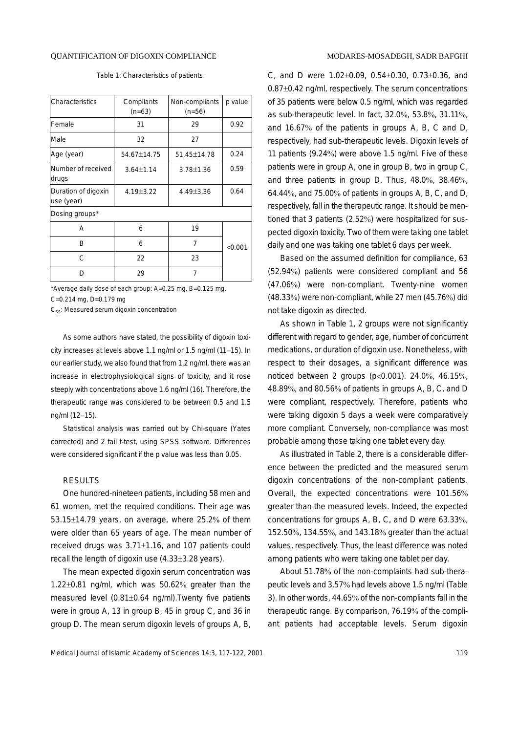#### QUANTIFICATION OF DIGOXIN COMPLIANCE

|  |  |  |  |  | Table 1: Characteristics of patients. |
|--|--|--|--|--|---------------------------------------|
|--|--|--|--|--|---------------------------------------|

| Characteristics                   | Compliants<br>$(n=63)$ | Non-compliants<br>$(n=56)$ | p value |  |  |  |
|-----------------------------------|------------------------|----------------------------|---------|--|--|--|
| Female                            | 31                     | 29                         | 0.92    |  |  |  |
| Male                              | 32                     | 27                         |         |  |  |  |
| Age (year)                        | 54.67±14.75            | 51.45±14.78                | 0.24    |  |  |  |
| Number of received<br>drugs       | $3.64 \pm 1.14$        | $3.78 \pm 1.36$            | 0.59    |  |  |  |
| Duration of digoxin<br>use (year) | 4.19±3.22              | 4.49±3.36                  | 0.64    |  |  |  |
| Dosing groups*                    |                        |                            |         |  |  |  |
| А                                 | 6                      | 19                         |         |  |  |  |
| B                                 | 6                      | 7                          | < 0.001 |  |  |  |
| C                                 | 22                     | 23                         |         |  |  |  |
| D                                 | 29                     | 7                          |         |  |  |  |

\*Average daily dose of each group: A=0.25 mg, B=0.125 mg,

C=0.214 mg, D=0.179 mg

C<sub>ss</sub>: Measured serum digoxin concentration

As some authors have stated, the possibility of digoxin toxicity increases at levels above 1.1 ng/ml or 1.5 ng/ml (11−15). In our earlier study, we also found that from 1.2 ng/ml, there was an increase in electrophysiological signs of toxicity, and it rose steeply with concentrations above 1.6 ng/ml (16). Therefore, the therapeutic range was considered to be between 0.5 and 1.5 ng/ml (12−15).

Statistical analysis was carried out by Chi-square (Yates corrected) and 2 tail t-test, using SPSS software. Differences were considered significant if the p value was less than 0.05.

### RESULTS

One hundred-nineteen patients, including 58 men and 61 women, met the required conditions. Their age was 53.15±14.79 years, on average, where 25.2% of them were older than 65 years of age. The mean number of received drugs was 3.71±1.16, and 107 patients could recall the length of digoxin use (4.33±3.28 years).

The mean expected digoxin serum concentration was 1.22±0.81 ng/ml, which was 50.62% greater than the measured level (0.81±0.64 ng/ml).Twenty five patients were in group A, 13 in group B, 45 in group C, and 36 in group D. The mean serum digoxin levels of groups A, B, C, and D were 1.02±0.09, 0.54±0.30, 0.73±0.36, and 0.87±0.42 ng/ml, respectively. The serum concentrations of 35 patients were below 0.5 ng/ml, which was regarded as sub-therapeutic level. In fact, 32.0%, 53.8%, 31.11%, and 16.67% of the patients in groups A, B, C and D, respectively, had sub-therapeutic levels. Digoxin levels of 11 patients (9.24%) were above 1.5 ng/ml. Five of these patients were in group A, one in group B, two in group C, and three patients in group D. Thus, 48.0%, 38.46%, 64.44%, and 75.00% of patients in groups A, B, C, and D, respectively, fall in the therapeutic range. It should be mentioned that 3 patients (2.52%) were hospitalized for suspected digoxin toxicity. Two of them were taking one tablet daily and one was taking one tablet 6 days per week.

Based on the assumed definition for compliance, 63 (52.94%) patients were considered compliant and 56 (47.06%) were non-compliant. Twenty-nine women (48.33%) were non-compliant, while 27 men (45.76%) did not take digoxin as directed.

As shown in Table 1, 2 groups were not significantly different with regard to gender, age, number of concurrent medications, or duration of digoxin use. Nonetheless, with respect to their dosages, a significant difference was noticed between 2 groups (p<0.001). 24.0%, 46.15%, 48.89%, and 80.56% of patients in groups A, B, C, and D were compliant, respectively. Therefore, patients who were taking digoxin 5 days a week were comparatively more compliant. Conversely, non-compliance was most probable among those taking one tablet every day.

As illustrated in Table 2, there is a considerable difference between the predicted and the measured serum digoxin concentrations of the non-compliant patients. Overall, the expected concentrations were 101.56% greater than the measured levels. Indeed, the expected concentrations for groups A, B, C, and D were 63.33%, 152.50%, 134.55%, and 143.18% greater than the actual values, respectively. Thus, the least difference was noted among patients who were taking one tablet per day.

About 51.78% of the non-complaints had sub-therapeutic levels and 3.57% had levels above 1.5 ng/ml (Table 3). In other words, 44.65% of the non-compliants fall in the therapeutic range. By comparison, 76.19% of the compliant patients had acceptable levels. Serum digoxin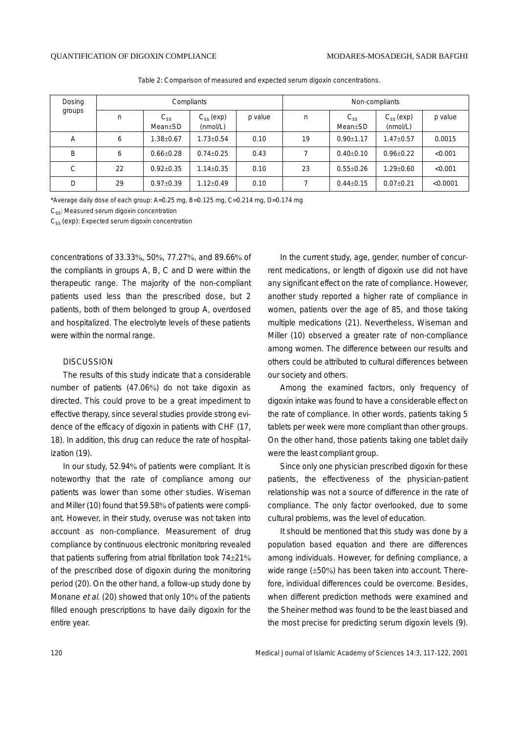| Dosing<br>groups | Compliants |                                  |                            | Non-compliants |    |                                  |                            |          |
|------------------|------------|----------------------------------|----------------------------|----------------|----|----------------------------------|----------------------------|----------|
|                  | n          | $C_{SS}$<br>Mean <sub>±</sub> SD | $C_{ss}$ (exp)<br>(nmol/L) | p value        | n  | $C_{SS}$<br>Mean <sub>±</sub> SD | $C_{ss}$ (exp)<br>(mmol/L) | p value  |
| A                | 6          | $.38 \pm 0.67$                   | $1.73 + 0.54$              | 0.10           | 19 | $0.90 \pm 1.17$                  | $1.47 + 0.57$              | 0.0015   |
| B                | 6          | $0.66 \pm 0.28$                  | $0.74 + 0.25$              | 0.43           |    | $0.40 \pm 0.10$                  | $0.96 \pm 0.22$            | < 0.001  |
| C                | 22         | $0.92 + 0.35$                    | $1.14 \pm 0.35$            | 0.10           | 23 | $0.55 \pm 0.26$                  | $1.29 + 0.60$              | < 0.001  |
| D                | 29         | $0.97 \pm 0.39$                  | $1.12 + 0.49$              | 0.10           |    | $0.44 \pm 0.15$                  | $0.07 + 0.21$              | < 0.0001 |

Table 2: Comparison of measured and expected serum digoxin concentrations.

\*Average daily dose of each group: A=0.25 mg, B=0.125 mg, C=0.214 mg, D=0.174 mg

C<sub>ss</sub>: Measured serum digoxin concentration

C<sub>ss</sub> (exp): Expected serum digoxin concentration

concentrations of 33.33%, 50%, 77.27%, and 89.66% of the compliants in groups A, B, C and D were within the therapeutic range. The majority of the non-compliant patients used less than the prescribed dose, but 2 patients, both of them belonged to group A, overdosed and hospitalized. The electrolyte levels of these patients were within the normal range.

#### **DISCUSSION**

The results of this study indicate that a considerable number of patients (47.06%) do not take digoxin as directed. This could prove to be a great impediment to effective therapy, since several studies provide strong evidence of the efficacy of digoxin in patients with CHF (17, 18). In addition, this drug can reduce the rate of hospitalization (19).

In our study, 52.94% of patients were compliant. It is noteworthy that the rate of compliance among our patients was lower than some other studies. Wiseman and Miller (10) found that 59.58% of patients were compliant. However, in their study, overuse was not taken into account as non-compliance. Measurement of drug compliance by continuous electronic monitoring revealed that patients suffering from atrial fibrillation took 74±21% of the prescribed dose of digoxin during the monitoring period (20). On the other hand, a follow-up study done by Monane et al. (20) showed that only 10% of the patients filled enough prescriptions to have daily digoxin for the entire year.

In the current study, age, gender, number of concurrent medications, or length of digoxin use did not have any significant effect on the rate of compliance. However, another study reported a higher rate of compliance in women, patients over the age of 85, and those taking multiple medications (21). Nevertheless, Wiseman and Miller (10) observed a greater rate of non-compliance among women. The difference between our results and others could be attributed to cultural differences between our society and others.

Among the examined factors, only frequency of digoxin intake was found to have a considerable effect on the rate of compliance. In other words, patients taking 5 tablets per week were more compliant than other groups. On the other hand, those patients taking one tablet daily were the least compliant group.

Since only one physician prescribed digoxin for these patients, the effectiveness of the physician-patient relationship was not a source of difference in the rate of compliance. The only factor overlooked, due to some cultural problems, was the level of education.

It should be mentioned that this study was done by a population based equation and there are differences among individuals. However, for defining compliance, a wide range (±50%) has been taken into account. Therefore, individual differences could be overcome. Besides, when different prediction methods were examined and the Sheiner method was found to be the least biased and the most precise for predicting serum digoxin levels (9).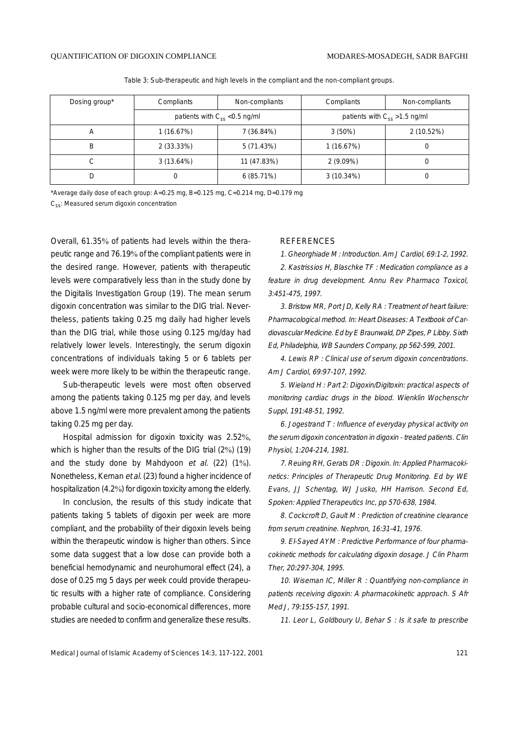| Dosing group* | Compliants                         | Non-compliants | Compliants                         | Non-compliants |  |
|---------------|------------------------------------|----------------|------------------------------------|----------------|--|
|               | patients with $C_{ss}$ < 0.5 ng/ml |                | patients with $C_{ss} > 1.5$ ng/ml |                |  |
| A             | 1 (16.67%)                         | 7 (36.84%)     | 3(50%)                             | 2 (10.52%)     |  |
| B             | $2(33.33\%)$                       | 5 (71.43%)     | 1(16.67%)                          |                |  |
| U             | 3(13.64%)                          | 11 (47.83%)    | $2(9.09\%)$                        |                |  |
| D             | 0                                  | $6(85.71\%)$   | $3(10.34\%)$                       |                |  |

Table 3: Sub-therapeutic and high levels in the compliant and the non-compliant groups.

\*Average daily dose of each group: A=0.25 mg, B=0.125 mg, C=0.214 mg, D=0.179 mg

C<sub>ss</sub>: Measured serum digoxin concentration

Overall, 61.35% of patients had levels within the therapeutic range and 76.19% of the compliant patients were in the desired range. However, patients with therapeutic levels were comparatively less than in the study done by the Digitalis Investigation Group (19). The mean serum digoxin concentration was similar to the DIG trial. Nevertheless, patients taking 0.25 mg daily had higher levels than the DIG trial, while those using 0.125 mg/day had relatively lower levels. Interestingly, the serum digoxin concentrations of individuals taking 5 or 6 tablets per week were more likely to be within the therapeutic range.

Sub-therapeutic levels were most often observed among the patients taking 0.125 mg per day, and levels above 1.5 ng/ml were more prevalent among the patients taking 0.25 mg per day.

Hospital admission for digoxin toxicity was 2.52%, which is higher than the results of the DIG trial (2%) (19) and the study done by Mahdyoon et al. (22) (1%). Nonetheless, Kernan et al. (23) found a higher incidence of hospitalization (4.2%) for digoxin toxicity among the elderly.

In conclusion, the results of this study indicate that patients taking 5 tablets of digoxin per week are more compliant, and the probability of their digoxin levels being within the therapeutic window is higher than others. Since some data suggest that a low dose can provide both a beneficial hemodynamic and neurohumoral effect (24), a dose of 0.25 mg 5 days per week could provide therapeutic results with a higher rate of compliance. Considering probable cultural and socio-economical differences, more studies are needed to confirm and generalize these results.

#### REFERENCES

1. Gheorghiade M : Introduction. Am J Cardiol, 69:1-2, 1992.

2. Kastrissios H, Blaschke TF : Medication compliance as a feature in drug development. Annu Rev Pharmaco Toxicol, 3:451-475, 1997.

3. Bristow MR, Port JD, Kelly RA : Treatment of heart failure: Pharmacological method. In: Heart Diseases: A Textbook of Cardiovascular Medicine. Ed by E Braunwald, DP Zipes, P Libby. Sixth Ed, Philadelphia, WB Saunders Company, pp 562-599, 2001.

4. Lewis RP : Clinical use of serum digoxin concentrations. Am J Cardiol, 69:97-107, 1992.

5. Wieland H : Part 2: Digoxin/Digitoxin: practical aspects of monitoring cardiac drugs in the blood. Wienklin Wochenschr Suppl, 191:48-51, 1992.

6. Jogestrand T : Influence of everyday physical activity on the serum digoxin concentration in digoxin - treated patients. Clin Physiol, 1:204-214, 1981.

7. Reuing RH, Gerats DR : Digoxin. In: Applied Pharmacokinetics: Principles of Therapeutic Drug Monitoring. Ed by WE Evans, JJ Schentag, WJ Jusko, HH Harrison. Second Ed, Spoken: Applied Therapeutics Inc, pp 570-638, 1984.

8. Cockcroft D, Gault M : Prediction of creatinine clearance from serum creatinine. Nephron, 16:31-41, 1976.

9. El-Sayed AYM : Predictive Performance of four pharmacokinetic methods for calculating digoxin dosage. J Clin Pharm Ther, 20:297-304, 1995.

10. Wiseman IC, Miller R : Quantifying non-compliance in patients receiving digoxin: A pharmacokinetic approach. S Afr Med J, 79:155-157, 1991.

11. Leor L, Goldboury U, Behar S : Is it safe to prescribe